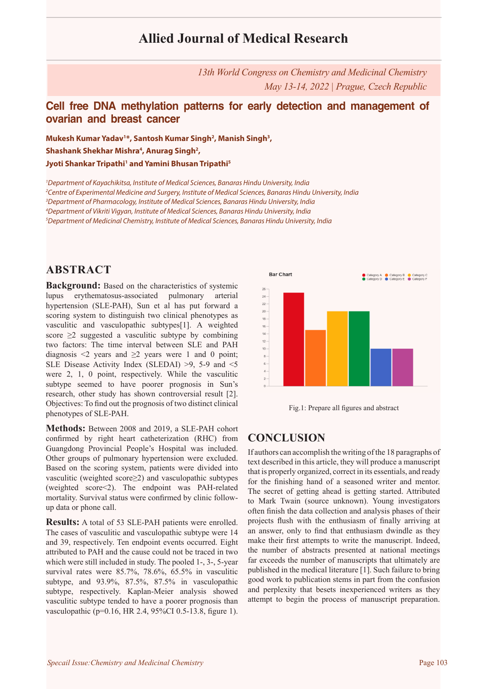# **Allied Journal of Medical Research**

*13th World Congress on Chemistry and Medicinal Chemistry May 13-14, 2022 | Prague, Czech Republic*

### **Cell free DNA methylation patterns for early detection and management of ovarian and breast cancer**

**Mukesh Kumar Yadav1 \*, Santosh Kumar Singh2 , Manish Singh3 ,**  Shashank Shekhar Mishra<sup>4</sup>, Anurag Singh<sup>2</sup>, **Jyoti Shankar Tripathi1 and Yamini Bhusan Tripathi5**

 *Department of Kayachikitsa, Institute of Medical Sciences, Banaras Hindu University, India Centre of Experimental Medicine and Surgery, Institute of Medical Sciences, Banaras Hindu University, India Department of Pharmacology, Institute of Medical Sciences, Banaras Hindu University, India Department of Vikriti Vigyan, Institute of Medical Sciences, Banaras Hindu University, India Department of Medicinal Chemistry, Institute of Medical Sciences, Banaras Hindu University, India*

### **ABSTRACT**

**Background:** Based on the characteristics of systemic lupus erythematosus-associated pulmonary arterial hypertension (SLE-PAH), Sun et al has put forward a scoring system to distinguish two clinical phenotypes as vasculitic and vasculopathic subtypes[1]. A weighted score  $\geq$ 2 suggested a vasculitic subtype by combining two factors: The time interval between SLE and PAH diagnosis  $\leq 2$  years and  $\geq 2$  years were 1 and 0 point; SLE Disease Activity Index (SLEDAI) >9, 5-9 and <5 were 2, 1, 0 point, respectively. While the vasculitic subtype seemed to have poorer prognosis in Sun's research, other study has shown controversial result [2]. Objectives: To find out the prognosis of two distinct clinical phenotypes of SLE-PAH.

**Methods:** Between 2008 and 2019, a SLE-PAH cohort confirmed by right heart catheterization (RHC) from Guangdong Provincial People's Hospital was included. Other groups of pulmonary hypertension were excluded. Based on the scoring system, patients were divided into vasculitic (weighted score≥2) and vasculopathic subtypes (weighted score<2). The endpoint was PAH-related mortality. Survival status were confirmed by clinic followup data or phone call.

**Results:** A total of 53 SLE-PAH patients were enrolled. The cases of vasculitic and vasculopathic subtype were 14 and 39, respectively. Ten endpoint events occurred. Eight attributed to PAH and the cause could not be traced in two which were still included in study. The pooled 1-, 3-, 5-year survival rates were 85.7%, 78.6%, 65.5% in vasculitic subtype, and 93.9%, 87.5%, 87.5% in vasculopathic subtype, respectively. Kaplan-Meier analysis showed vasculitic subtype tended to have a poorer prognosis than vasculopathic (p=0.16, HR 2.4, 95%CI 0.5-13.8, figure 1).





### **CONCLUSION**

If authors can accomplish the writing of the 18 paragraphs of text described in this article, they will produce a manuscript that is properly organized, correct in its essentials, and ready for the finishing hand of a seasoned writer and mentor. The secret of getting ahead is getting started. Attributed to Mark Twain (source unknown). Young investigators often finish the data collection and analysis phases of their projects flush with the enthusiasm of finally arriving at an answer, only to find that enthusiasm dwindle as they make their first attempts to write the manuscript. Indeed, the number of abstracts presented at national meetings far exceeds the number of manuscripts that ultimately are published in the medical literature [1]. Such failure to bring good work to publication stems in part from the confusion and perplexity that besets inexperienced writers as they attempt to begin the process of manuscript preparation.